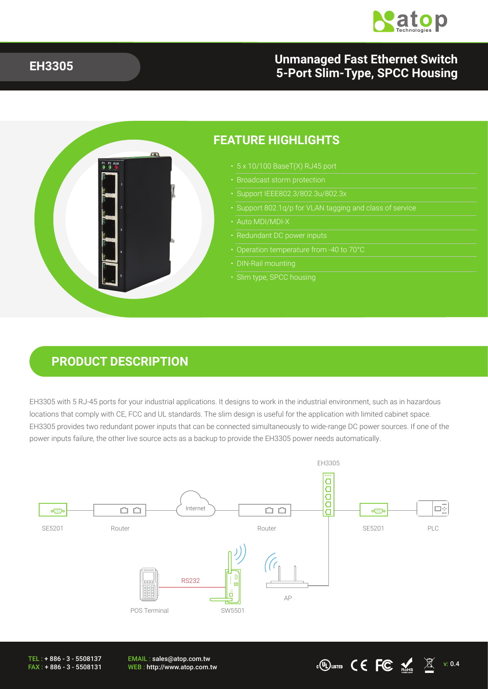

#### **EH3305 Unmanaged Fast Ethernet Switch 5-Port Slim-Type, SPCC Housing**

 $\cdot$  CO usited CE FC  $\frac{1}{N}$   $\mathbb{Z}$  v: 0.4



### **PRODUCT DESCRIPTION**

EH3305 with 5 RJ-45 ports for your industrial applications. It designs to work in the industrial environment, such as in hazardous locations that comply with CE, FCC and UL standards. The slim design is useful for the application with limited cabinet space. EH3305 provides two redundant power inputs that can be connected simultaneously to wide-range DC power sources. If one of the power inputs failure, the other live source acts as a backup to provide the EH3305 power needs automatically.



EMAIL : sales@atop.com.tw<br>WEB : http://www.atop.com.tw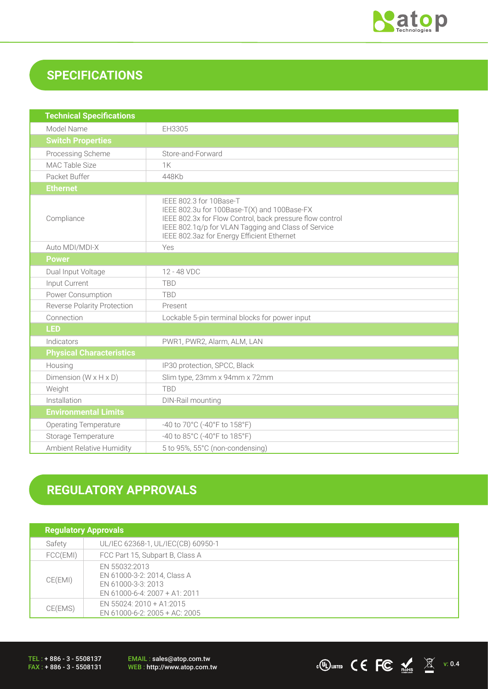

## **SPECIFICATIONS**

| <b>Technical Specifications</b>   |                                                                                                                                                                                                                                         |
|-----------------------------------|-----------------------------------------------------------------------------------------------------------------------------------------------------------------------------------------------------------------------------------------|
| Model Name                        | EH3305                                                                                                                                                                                                                                  |
| <b>Switch Properties</b>          |                                                                                                                                                                                                                                         |
| Processing Scheme                 | Store-and-Forward                                                                                                                                                                                                                       |
| <b>MAC Table Size</b>             | <b>1K</b>                                                                                                                                                                                                                               |
| Packet Buffer                     | 448Kh                                                                                                                                                                                                                                   |
| <b>Ethernet</b>                   |                                                                                                                                                                                                                                         |
| Compliance                        | IEEE 802.3 for 10Base-T<br>IEEE 802.3u for 100Base-T(X) and 100Base-FX<br>IEEE 802.3x for Flow Control, back pressure flow control<br>IEEE 802.1q/p for VLAN Tagging and Class of Service<br>IEEE 802.3az for Energy Efficient Ethernet |
| Auto MDI/MDI-X                    | Yes                                                                                                                                                                                                                                     |
| <b>Power</b>                      |                                                                                                                                                                                                                                         |
| Dual Input Voltage                | 12 - 48 VDC                                                                                                                                                                                                                             |
| Input Current                     | <b>TBD</b>                                                                                                                                                                                                                              |
| Power Consumption                 | <b>TBD</b>                                                                                                                                                                                                                              |
| Reverse Polarity Protection       | Present                                                                                                                                                                                                                                 |
| Connection                        | Lockable 5-pin terminal blocks for power input                                                                                                                                                                                          |
| <b>LED</b>                        |                                                                                                                                                                                                                                         |
| Indicators                        | PWR1, PWR2, Alarm, ALM, LAN                                                                                                                                                                                                             |
| <b>Physical Characteristics</b>   |                                                                                                                                                                                                                                         |
| Housing                           | IP30 protection, SPCC, Black                                                                                                                                                                                                            |
| Dimension $(W \times H \times D)$ | Slim type, 23mm x 94mm x 72mm                                                                                                                                                                                                           |
| Weight                            | <b>TRD</b>                                                                                                                                                                                                                              |
| Installation                      | DIN-Rail mounting                                                                                                                                                                                                                       |
| <b>Environmental Limits</b>       |                                                                                                                                                                                                                                         |
| <b>Operating Temperature</b>      | -40 to 70°C (-40°F to 158°F)                                                                                                                                                                                                            |
| Storage Temperature               | -40 to 85°C (-40°F to 185°F)                                                                                                                                                                                                            |
| Ambient Relative Humidity         | 5 to 95%, 55°C (non-condensing)                                                                                                                                                                                                         |

# **REGULATORY APPROVALS**

| <b>Regulatory Approvals</b> |                                                                                                       |  |
|-----------------------------|-------------------------------------------------------------------------------------------------------|--|
| Safety                      | UL/IEC 62368-1, UL/IEC(CB) 60950-1                                                                    |  |
| FCC(EMI)                    | FCC Part 15, Subpart B, Class A                                                                       |  |
| CE(EMI)                     | EN 55032:2013<br>EN 61000-3-2: 2014, Class A<br>EN 61000-3-3: 2013<br>EN 61000-6-4: $2007 + A1: 2011$ |  |
| CE(EMS)                     | EN 55024: 2010 + A1:2015<br>EN 61000-6-2: 2005 + AC: 2005                                             |  |

TEL : + 886 - 3 - 5508137 FAX : + 886 - 3 - 5508131 EMAIL : sales@atop.com.tw<br>WEB : http://www.atop.com.tw

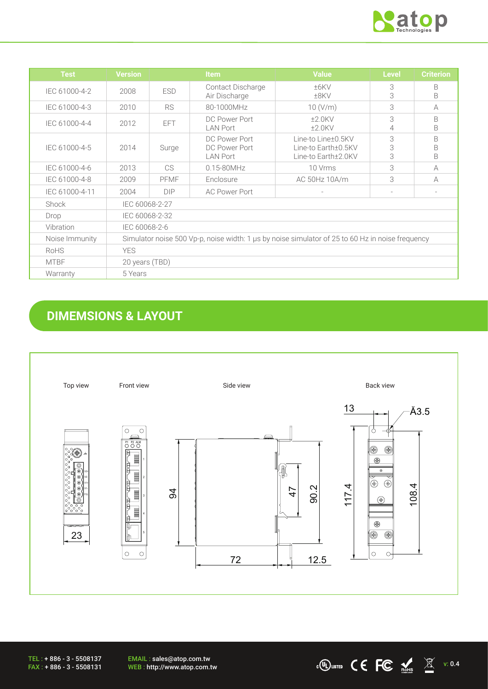

 $\overline{CC}$   $\overline{CC}$   $\overline{CC}$   $\overline{CC}$   $\overline{\mathbb{X}}$  v: 0.4

| <b>Test</b>    | <b>Version</b>                                                                                   |            | <b>Item</b>                                       | <b>Value</b>                                                     | <b>Level</b> | <b>Criterion</b> |
|----------------|--------------------------------------------------------------------------------------------------|------------|---------------------------------------------------|------------------------------------------------------------------|--------------|------------------|
| IEC 61000-4-2  | 2008                                                                                             | <b>ESD</b> | <b>Contact Discharge</b><br>Air Discharge         | ±6KV<br>±8KV                                                     | 3<br>3       | B<br>B           |
| IEC 61000-4-3  | 2010                                                                                             | <b>RS</b>  | 80-1000MHz                                        | 10 (V/m)                                                         | 3            | A                |
| IEC 61000-4-4  | 2012                                                                                             | EFT.       | DC Power Port<br><b>LAN Port</b>                  | $±2.0$ KV<br>$±2.0$ KV                                           | 3<br>4       | B<br>B           |
| IEC 61000-4-5  | 2014                                                                                             | Surge      | DC Power Port<br>DC Power Port<br><b>LAN Port</b> | Line-to Line±0.5KV<br>Line-to Earth±0.5KV<br>Line-to Earth±2.0KV | 3<br>3<br>3  | B<br>B<br>B      |
| IEC 61000-4-6  | 2013                                                                                             | CS.        | $0.15 - 80$ MHz                                   | 10 Vrms                                                          | 3            | A                |
| IEC 61000-4-8  | 2009                                                                                             | PFMF       | Enclosure                                         | AC 50Hz 10A/m                                                    | 3            | A                |
| IEC 61000-4-11 | 2004                                                                                             | DIP        | <b>AC Power Port</b>                              |                                                                  |              |                  |
| Shock          | IEC 60068-2-27                                                                                   |            |                                                   |                                                                  |              |                  |
| Drop           | IEC 60068-2-32                                                                                   |            |                                                   |                                                                  |              |                  |
| Vibration      | IEC 60068-2-6                                                                                    |            |                                                   |                                                                  |              |                  |
| Noise Immunity | Simulator noise 500 Vp-p, noise width: 1 us by noise simulator of 25 to 60 Hz in noise frequency |            |                                                   |                                                                  |              |                  |
| RoHS           | <b>YES</b>                                                                                       |            |                                                   |                                                                  |              |                  |
| <b>MTBF</b>    | 20 years (TBD)                                                                                   |            |                                                   |                                                                  |              |                  |
| Warranty       | 5 Years                                                                                          |            |                                                   |                                                                  |              |                  |

# **DIMEMSIONS & LAYOUT**



EMAIL : sales@atop.com.tw<br>WEB : http://www.atop.com.tw